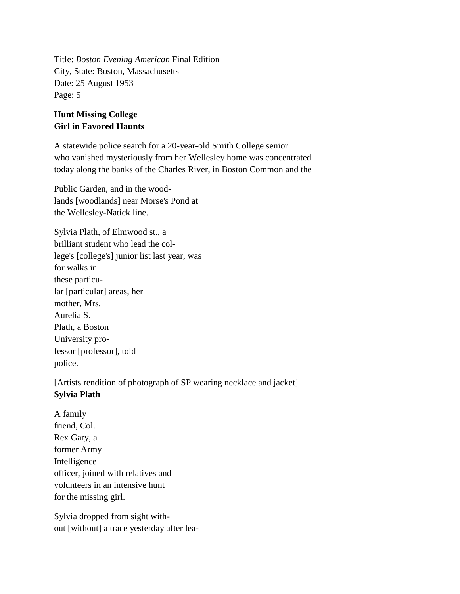Title: *Boston Evening American* Final Edition City, State: Boston, Massachusetts Date: 25 August 1953 Page: 5

## **Hunt Missing College Girl in Favored Haunts**

A statewide police search for a 20-year-old Smith College senior who vanished mysteriously from her Wellesley home was concentrated today along the banks of the Charles River, in Boston Common and the

Public Garden, and in the woodlands [woodlands] near Morse's Pond at the Wellesley-Natick line.

Sylvia Plath, of Elmwood st., a brilliant student who lead the college's [college's] junior list last year, was for walks in these particular [particular] areas, her mother, Mrs. Aurelia S. Plath, a Boston University professor [professor], told police.

[Artists rendition of photograph of SP wearing necklace and jacket] **Sylvia Plath**

A family friend, Col. Rex Gary, a former Army Intelligence officer, joined with relatives and volunteers in an intensive hunt for the missing girl.

Sylvia dropped from sight without [without] a trace yesterday after lea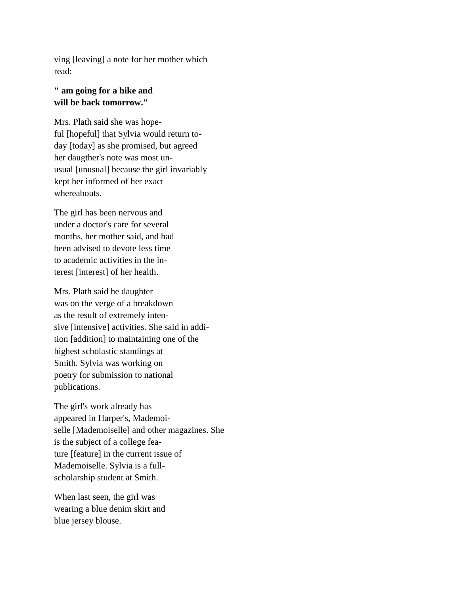ving [leaving] a note for her mother which read:

## **" am going for a hike and will be back tomorrow."**

Mrs. Plath said she was hopeful [hopeful] that Sylvia would return today [today] as she promised, but agreed her daugther's note was most unusual [unusual] because the girl invariably kept her informed of her exact whereabouts.

The girl has been nervous and under a doctor's care for several months, her mother said, and had been advised to devote less time to academic activities in the interest [interest] of her health.

Mrs. Plath said he daughter was on the verge of a breakdown as the result of extremely intensive [intensive] activities. She said in addition [addition] to maintaining one of the highest scholastic standings at Smith. Sylvia was working on poetry for submission to national publications.

The girl's work already has appeared in Harper's, Mademoiselle [Mademoiselle] and other magazines. She is the subject of a college feature [feature] in the current issue of Mademoiselle. Sylvia is a fullscholarship student at Smith.

When last seen, the girl was wearing a blue denim skirt and blue jersey blouse.